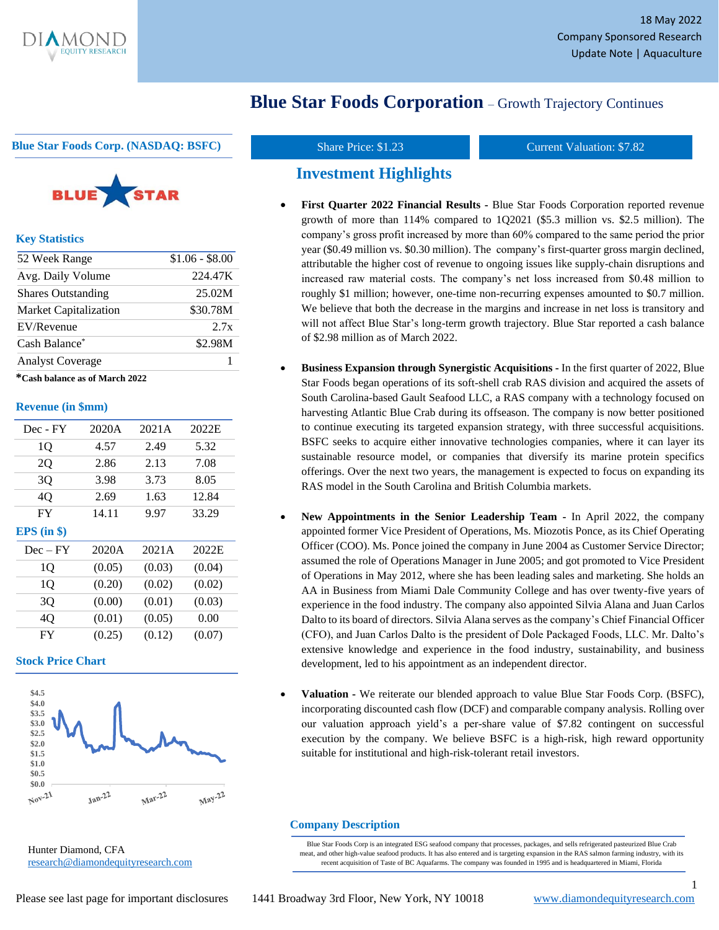

# **Blue Star Foods Corporation** – Growth Trajectory Continues

### **Blue Star Foods Corp. (NASDAQ: BSFC)**



#### **Key Statistics**

| 52 Week Range                | $$1.06 - $8.00$ |
|------------------------------|-----------------|
| Avg. Daily Volume            | 224.47K         |
| <b>Shares Outstanding</b>    | 25.02M          |
| <b>Market Capitalization</b> | \$30.78M        |
| EV/Revenue                   | 2.7x            |
| Cash Balance*                | \$2.98M         |
| <b>Analyst Coverage</b>      |                 |
|                              |                 |

**\*Cash balance as of March 2022**

### **Revenue (in \$mm)**

| Dec - FY     | 2020A  | 2021A  | 2022E  |
|--------------|--------|--------|--------|
| 10           | 4.57   | 2.49   | 5.32   |
| 2Q           | 2.86   | 2.13   | 7.08   |
| 3Q           | 3.98   | 3.73   | 8.05   |
| 40           | 2.69   | 1.63   | 12.84  |
| FY           | 14.11  | 9.97   | 33.29  |
| EPS $(in $)$ |        |        |        |
|              |        |        |        |
| $Dec - FY$   | 2020A  | 2021A  | 2022E  |
| 10           | (0.05) | (0.03) | (0.04) |
| 1Q           | (0.20) | (0.02) | (0.02) |
| 3Q           | (0.00) | (0.01) | (0.03) |
| 40           | (0.01) | (0.05) | 0.00   |
| FY           | (0.25) | (0.12) | (0.07) |

#### **Stock Price Chart**



Hunter Diamond, CFA [research@diamondequityresearch.com](mailto:research@diamondequityresearch.com)

Share Price: \$1.23 Current Valuation: \$7.82

### **Investment Highlights**

- **First Quarter 2022 Financial Results -** Blue Star Foods Corporation reported revenue growth of more than 114% compared to 1Q2021 (\$5.3 million vs. \$2.5 million). The company's gross profit increased by more than 60% compared to the same period the prior year (\$0.49 million vs. \$0.30 million). The company's first-quarter gross margin declined, attributable the higher cost of revenue to ongoing issues like supply-chain disruptions and increased raw material costs. The company's net loss increased from \$0.48 million to roughly \$1 million; however, one-time non-recurring expenses amounted to \$0.7 million. We believe that both the decrease in the margins and increase in net loss is transitory and will not affect Blue Star's long-term growth trajectory. Blue Star reported a cash balance of \$2.98 million as of March 2022.
- **Business Expansion through Synergistic Acquisitions -** In the first quarter of 2022, Blue Star Foods began operations of its soft-shell crab RAS division and acquired the assets of South Carolina-based Gault Seafood LLC, a RAS company with a technology focused on harvesting Atlantic Blue Crab during its offseason. The company is now better positioned to continue executing its targeted expansion strategy, with three successful acquisitions. BSFC seeks to acquire either innovative technologies companies, where it can layer its sustainable resource model, or companies that diversify its marine protein specifics offerings. Over the next two years, the management is expected to focus on expanding its RAS model in the South Carolina and British Columbia markets.
- **New Appointments in the Senior Leadership Team -** In April 2022, the company appointed former Vice President of Operations, Ms. Miozotis Ponce, as its Chief Operating Officer (COO). Ms. Ponce joined the company in June 2004 as Customer Service Director; assumed the role of Operations Manager in June 2005; and got promoted to Vice President of Operations in May 2012, where she has been leading sales and marketing. She holds an AA in Business from Miami Dale Community College and has over twenty-five years of experience in the food industry. The company also appointed Silvia Alana and Juan Carlos Dalto to its board of directors. Silvia Alana serves as the company's Chief Financial Officer (CFO), and Juan Carlos Dalto is the president of Dole Packaged Foods, LLC. Mr. Dalto's extensive knowledge and experience in the food industry, sustainability, and business development, led to his appointment as an independent director.
- **Valuation -** We reiterate our blended approach to value Blue Star Foods Corp. (BSFC), incorporating discounted cash flow (DCF) and comparable company analysis. Rolling over our valuation approach yield's a per-share value of \$7.82 contingent on successful execution by the company. We believe BSFC is a high-risk, high reward opportunity suitable for institutional and high-risk-tolerant retail investors.

### **Company Description**

Blue Star Foods Corp is an integrated ESG seafood company that processes, packages, and sells refrigerated pasteurized Blue Crab meat, and other high-value seafood products. It has also entered and is targeting expansion in the RAS salmon farming industry, with its recent acquisition of Taste of BC Aquafarms. The company was founded in 1995 and is headquartered in Miami, Florida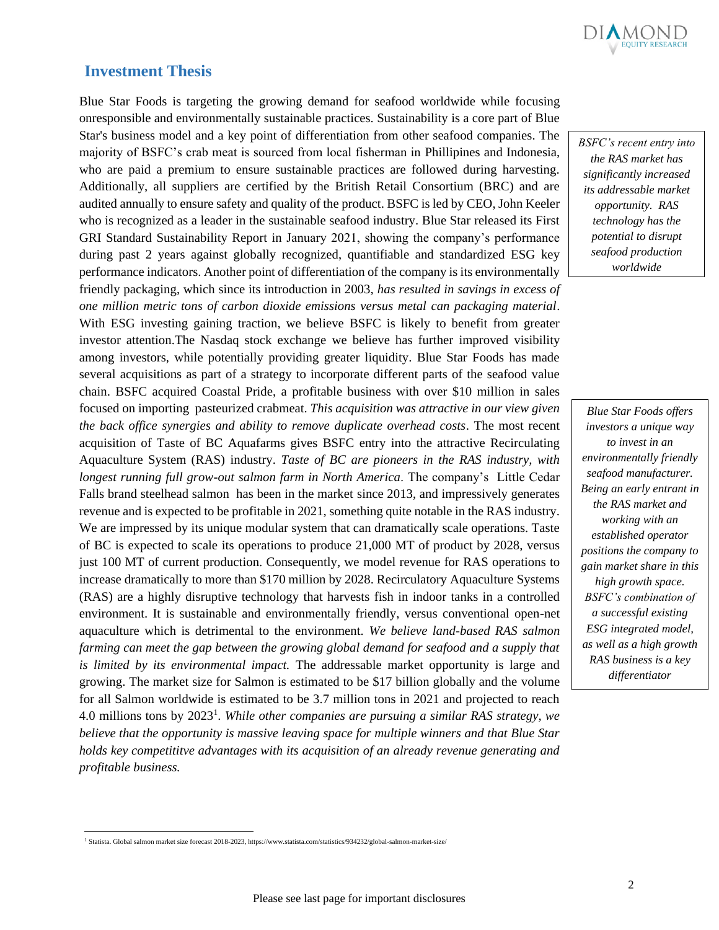

### **Investment Thesis**

Blue Star Foods is targeting the growing demand for seafood worldwide while focusing onresponsible and environmentally sustainable practices. Sustainability is a core part of Blue Star's business model and a key point of differentiation from other seafood companies. The majority of BSFC's crab meat is sourced from local fisherman in Phillipines and Indonesia, who are paid a premium to ensure sustainable practices are followed during harvesting. Additionally, all suppliers are certified by the British Retail Consortium (BRC) and are audited annually to ensure safety and quality of the product. BSFC is led by CEO, John Keeler who is recognized as a leader in the sustainable seafood industry. Blue Star released its First GRI Standard Sustainability Report in January 2021, showing the company's performance during past 2 years against globally recognized, quantifiable and standardized ESG key performance indicators. Another point of differentiation of the company is its environmentally friendly packaging, which since its introduction in 2003, *has resulted in savings in excess of one million metric tons of carbon dioxide emissions versus metal can packaging material*. With ESG investing gaining traction, we believe BSFC is likely to benefit from greater investor attention.The Nasdaq stock exchange we believe has further improved visibility among investors, while potentially providing greater liquidity. Blue Star Foods has made several acquisitions as part of a strategy to incorporate different parts of the seafood value chain. BSFC acquired Coastal Pride, a profitable business with over \$10 million in sales focused on importing pasteurized crabmeat. *This acquisition was attractive in our view given the back office synergies and ability to remove duplicate overhead costs*. The most recent acquisition of Taste of BC Aquafarms gives BSFC entry into the attractive Recirculating Aquaculture System (RAS) industry. *Taste of BC are pioneers in the RAS industry, with longest running full grow-out salmon farm in North America*. The company's Little Cedar Falls brand steelhead salmon has been in the market since 2013, and impressively generates revenue and is expected to be profitable in 2021, something quite notable in the RAS industry. We are impressed by its unique modular system that can dramatically scale operations. Taste of BC is expected to scale its operations to produce 21,000 MT of product by 2028, versus just 100 MT of current production. Consequently, we model revenue for RAS operations to increase dramatically to more than \$170 million by 2028. Recirculatory Aquaculture Systems (RAS) are a highly disruptive technology that harvests fish in indoor tanks in a controlled environment. It is sustainable and environmentally friendly, versus conventional open-net aquaculture which is detrimental to the environment. *We believe land-based RAS salmon*  farming can meet the gap between the growing global demand for seafood and a supply that *is limited by its environmental impact.* The addressable market opportunity is large and growing. The market size for Salmon is estimated to be \$17 billion globally and the volume for all Salmon worldwide is estimated to be 3.7 million tons in 2021 and projected to reach 4.0 millions tons by  $2023<sup>1</sup>$ . While other companies are pursuing a similar RAS strategy, we *believe that the opportunity is massive leaving space for multiple winners and that Blue Star holds key competititve advantages with its acquisition of an already revenue generating and profitable business.* 

*BSFC's recent entry into the RAS market has significantly increased its addressable market opportunity. RAS technology has the potential to disrupt seafood production worldwide*

*Blue Star Foods offers investors a unique way to invest in an environmentally friendly seafood manufacturer. Being an early entrant in the RAS market and working with an established operator positions the company to gain market share in this high growth space. BSFC's combination of a successful existing ESG integrated model, as well as a high growth RAS business is a key differentiator* 

<sup>1</sup> Statista. Global salmon market size forecast 2018-2023, https://www.statista.com/statistics/934232/global-salmon-market-size/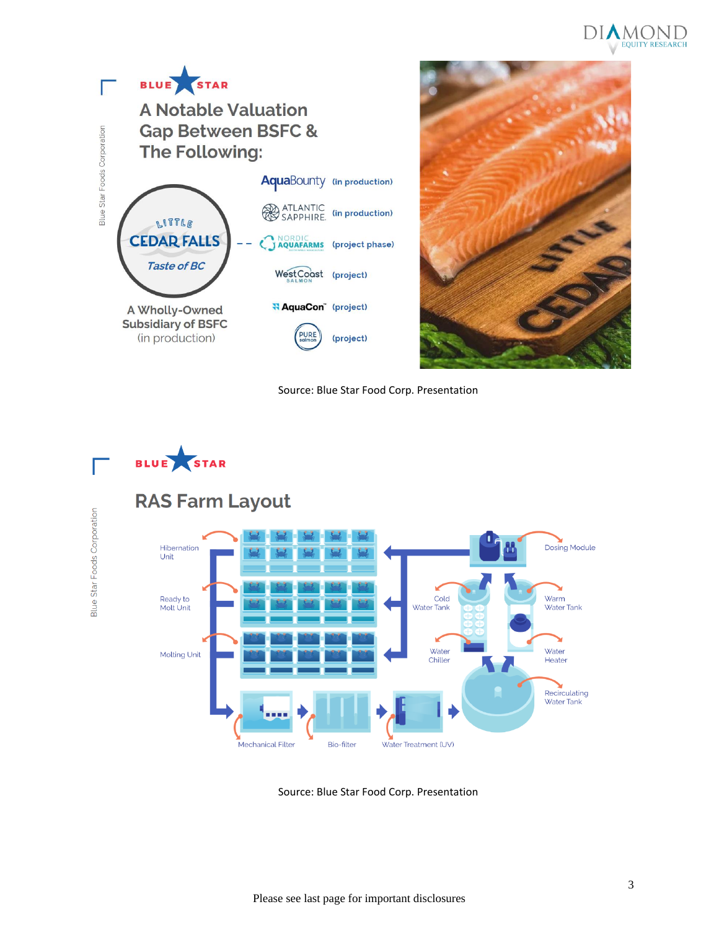





Source: Blue Star Food Corp. Presentation





Source: Blue Star Food Corp. Presentation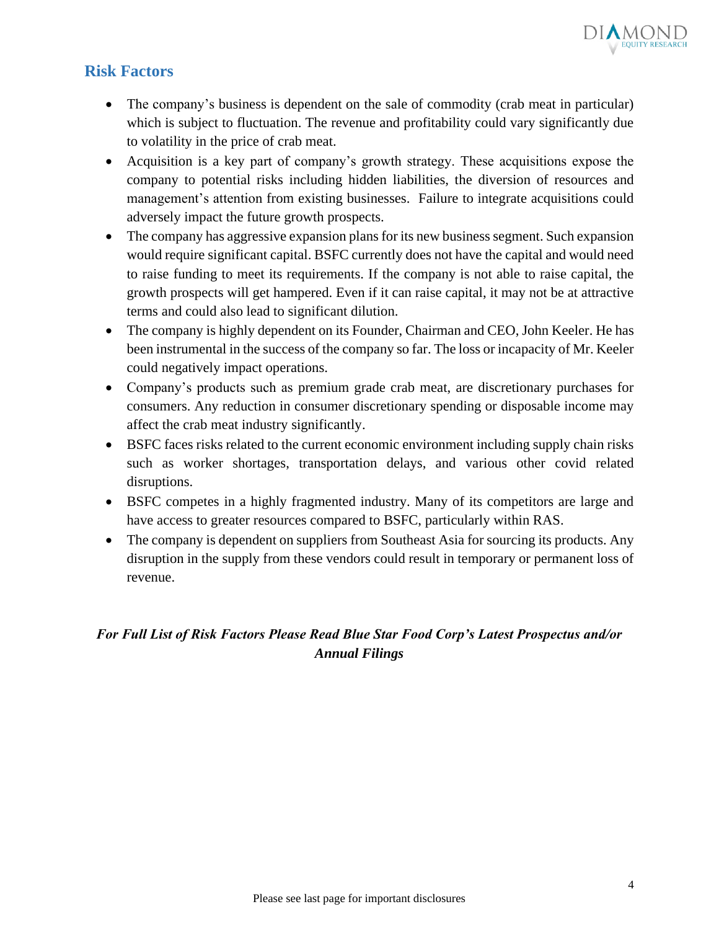

# **Risk Factors**

- The company's business is dependent on the sale of commodity (crab meat in particular) which is subject to fluctuation. The revenue and profitability could vary significantly due to volatility in the price of crab meat.
- Acquisition is a key part of company's growth strategy. These acquisitions expose the company to potential risks including hidden liabilities, the diversion of resources and management's attention from existing businesses. Failure to integrate acquisitions could adversely impact the future growth prospects.
- The company has aggressive expansion plans for its new business segment. Such expansion would require significant capital. BSFC currently does not have the capital and would need to raise funding to meet its requirements. If the company is not able to raise capital, the growth prospects will get hampered. Even if it can raise capital, it may not be at attractive terms and could also lead to significant dilution.
- The company is highly dependent on its Founder, Chairman and CEO, John Keeler. He has been instrumental in the success of the company so far. The loss or incapacity of Mr. Keeler could negatively impact operations.
- Company's products such as premium grade crab meat, are discretionary purchases for consumers. Any reduction in consumer discretionary spending or disposable income may affect the crab meat industry significantly.
- BSFC faces risks related to the current economic environment including supply chain risks such as worker shortages, transportation delays, and various other covid related disruptions.
- BSFC competes in a highly fragmented industry. Many of its competitors are large and have access to greater resources compared to BSFC, particularly within RAS.
- The company is dependent on suppliers from Southeast Asia for sourcing its products. Any disruption in the supply from these vendors could result in temporary or permanent loss of revenue.

# *For Full List of Risk Factors Please Read Blue Star Food Corp's Latest Prospectus and/or Annual Filings*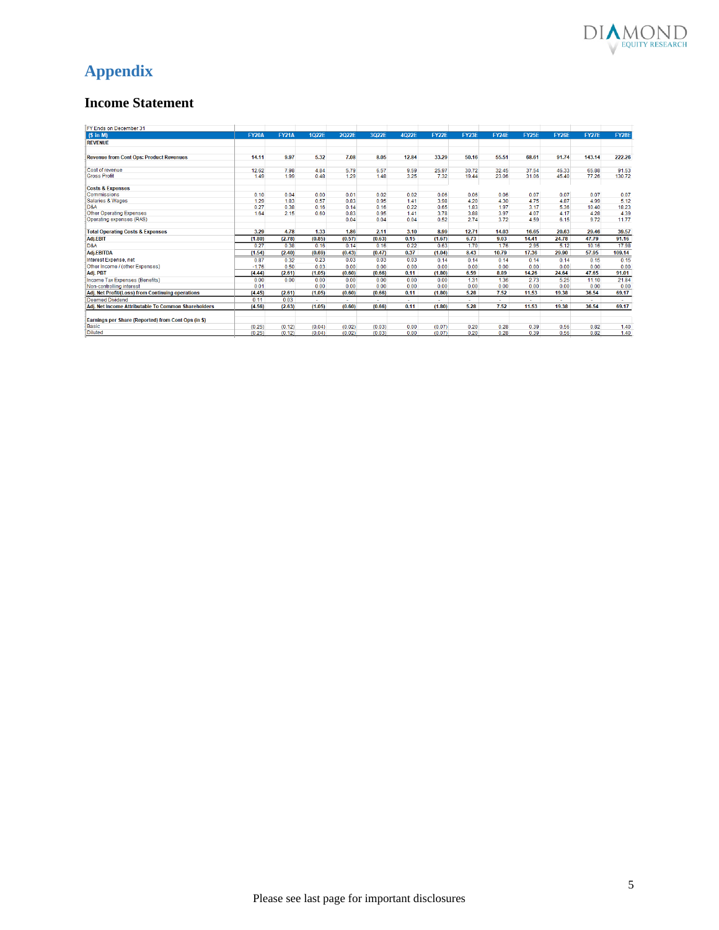

# **Appendix**

## **Income Statement**

| FY Ends on December 31                              |              |              |              |              |        |        |        |       |        |       |              |        |        |
|-----------------------------------------------------|--------------|--------------|--------------|--------------|--------|--------|--------|-------|--------|-------|--------------|--------|--------|
| $(S \in M)$                                         | <b>FY20A</b> | <b>FY21A</b> | <b>1022E</b> | <b>2022E</b> | 3Q22E  | 4Q22E  | FY22E  | FY23E | FY24E  | FY25E | <b>FY26E</b> | FY27E  | FY28E  |
| <b>REVENUE</b>                                      |              |              |              |              |        |        |        |       |        |       |              |        |        |
| <b>Revenue from Cont Ops: Product Revenues</b>      | 14.11        | 9.97         | 5.32         | 7.08         | 8.05   | 12.84  | 33.29  | 50.16 | 55.51  | 68.61 | 91.74        | 143.14 | 222.26 |
| Cost of revenue                                     | 12.62        | 7.98         | 484          | 579          | 6.57   | 9.59   | 25.97  | 30.72 | 32.45  | 37.54 | 46.33        | 65.88  | 91.53  |
| <b>Gross Profit</b>                                 | 1.49         | 1.99         | 0.48         | 1.29         | 1.48   | 3.25   | 7.32   | 19.44 | 23.06  | 31.06 | 45.40        | 77.26  | 130.72 |
| <b>Costs &amp; Expenses</b>                         |              |              |              |              |        |        |        |       |        |       |              |        |        |
| Commissions                                         | 0.10         | 0.04         | 0.00         | 0.01         | 0.02   | 0.02   | 0.06   | 0.06  | 0.06   | 0.07  | 0.07         | 0.07   | 0.07   |
| Salaries & Wages                                    | 1.29         | 1.83         | 0.57         | 0.83         | 0.95   | 1.41   | 3.98   | 4.20  | 4.30   | 4.75  | 4.87         | 4.99   | 5.12   |
| D&A                                                 | 0.27         | 0.38         | 0.16         | 0.14         | 0.16   | 0.22   | 0.65   | 1.83  | 1.97   | 3.17  | 5.36         | 10.40  | 18.23  |
| <b>Other Operating Expenses</b>                     | 1.64         | 2.15         | 0.60         | 0.83         | 0.95   | 1.41   | 3.78   | 3.88  | 3.97   | 4.07  | 4.17         | 4.28   | 4.39   |
| Operating expenses (RAS)                            |              |              |              | 0.04         | 0.04   | 0.04   | 0.52   | 2.74  | 3.72   | 4.59  | 6.15         | 9.72   | 11.77  |
| <b>Total Operating Costs &amp; Expenses</b>         | 3.29         | 4.78         | 1.33         | 1.86         | 2.11   | 3.10   | 8.99   | 12.71 | 14.03  | 16.65 | 20.63        | 29.46  | 39.57  |
| Adj.EBIT                                            | (1.80)       | (2.78)       | (0.85)       | (0.57)       | (0.63) | 0.15   | (1.67) | 6.73  | 9.03   | 14.41 | 24.78        | 47.79  | 91.16  |
| D&A                                                 | 0.27         | 0.38         | 0.16         | 0.14         | 0.16   | 0.22   | 0.63   | 1.70  | 1.76   | 2.95  | 5.12         | 10.16  | 17.98  |
| <b>Adj.EBITDA</b>                                   | (1.54)       | (2.40)       | (0.69)       | (0.43)       | (0.47) | 0.37   | (1.04) | 8.43  | 10.79  | 17.36 | 29.90        | 57.95  | 109.14 |
| Interest Expense, net                               | 0.87         | 0.32         | 0.23         | 0.03         | 0.03   | 0.03   | 0.14   | 0.14  | 0.14   | 0.14  | 0.14         | 0.15   | 0.15   |
| Other Income / (other Expenses)                     | $-1.76$      | 0.50         | 0.03         | 0.00         | 0.00   | 0.00   | 0.00   | 0.00  | 0.00   | 0.00  | 0.00         | 0.00   | 0.00   |
| Adj. PBT                                            | (4.44)       | (2.61)       | (1.05)       | (0.60)       | (0.66) | 0.11   | (1.80) | 6.59  | 8.89   | 14.26 | 24.64        | 47.65  | 91.01  |
| Income Tax Expenses (Benefits)                      | 0.00         | 0.00         | 0.00         | 0.00         | 0.00   | 0.00   | 0.00   | 1.31  | 1.36   | 2.73  | 5.25         | 11.10  | 21.84  |
| Non-controlling interest                            | 0.01         |              | 0.00         | 0.00         | 0.00   | 0.00   | 0.00   | 0.00  | 0.00   | 0.00  | 0.00         | 0.00   | 0.00   |
| Adj. Net Profit/(Loss) from Continuing operations   | (4.45)       | (2.61)       | (1.05)       | (0.60)       | (0.66) | 0.11   | (1.80) | 5.28  | 7.52   | 11.53 | 19.38        | 36.54  | 69.17  |
| Deemed Dividend                                     | 0.11         | 0.03         | $\sim$       | $\sim$       | ۰.     | $\sim$ |        |       | $\sim$ | ۰.    | $\sim$       | $\sim$ | $\sim$ |
| Adj. Net Income Attributable To Common Shareholders | (4.56)       | (2.63)       | (1.05)       | (0.60)       | (0.66) | 0.11   | (1.80) | 5.28  | 7.52   | 11.53 | 19.38        | 36.54  | 69.17  |
| Earnings per Share (Reported) from Cont Ops (in \$) |              |              |              |              |        |        |        |       |        |       |              |        |        |
| Basic                                               | (0.25)       | (0.12)       | (0.04)       | (0.02)       | (0.03) | 0.00   | (0.07) | 0.20  | 0.28   | 0.39  | 0.56         | 0.82   | 1.40   |
| <b>Diluted</b>                                      | (0.25)       | (0.12)       | (0.04)       | (0.02)       | (0.03) | 0.00   | (0.07) | 0.20  | 0.28   | 0.39  | 0.56         | 0.82   | 1.40   |